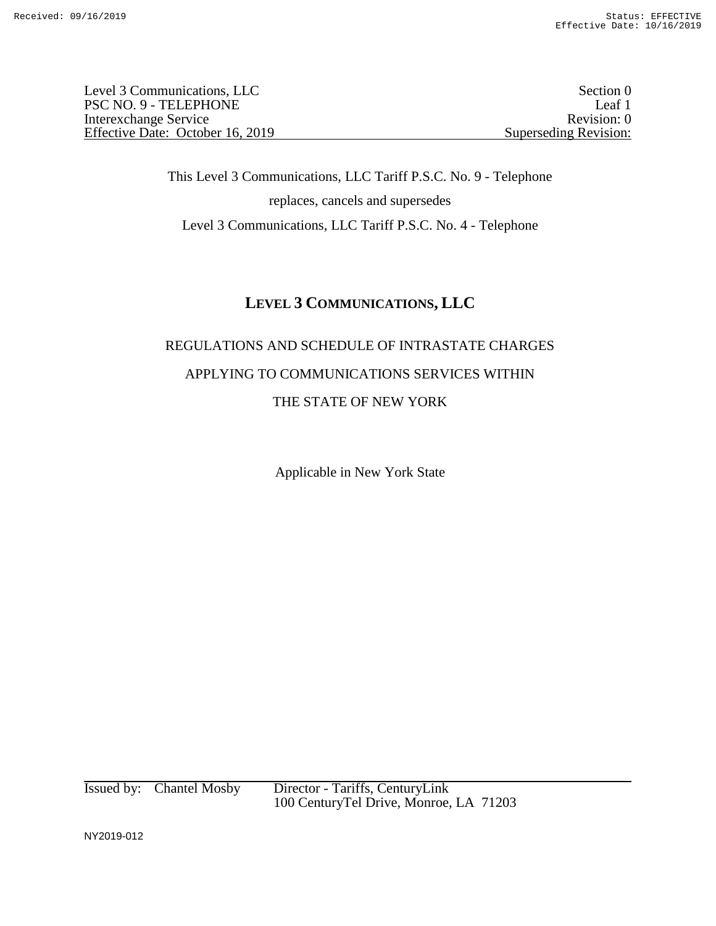Level 3 Communications, LLC Section 0 PSC NO. 9 - TELEPHONE Leaf 1<br>Interexchange Service Revision: 0 Interexchange Service Effective Date: October 16, 2019 Superseding Revision:

> This Level 3 Communications, LLC Tariff P.S.C. No. 9 - Telephone replaces, cancels and supersedes Level 3 Communications, LLC Tariff P.S.C. No. 4 - Telephone

## **LEVEL 3 COMMUNICATIONS, LLC**

## REGULATIONS AND SCHEDULE OF INTRASTATE CHARGES APPLYING TO COMMUNICATIONS SERVICES WITHIN THE STATE OF NEW YORK

Applicable in New York State

Issued by: Chantel Mosby Director - Tariffs, CenturyLink 100 CenturyTel Drive, Monroe, LA 71203

NY2019-012